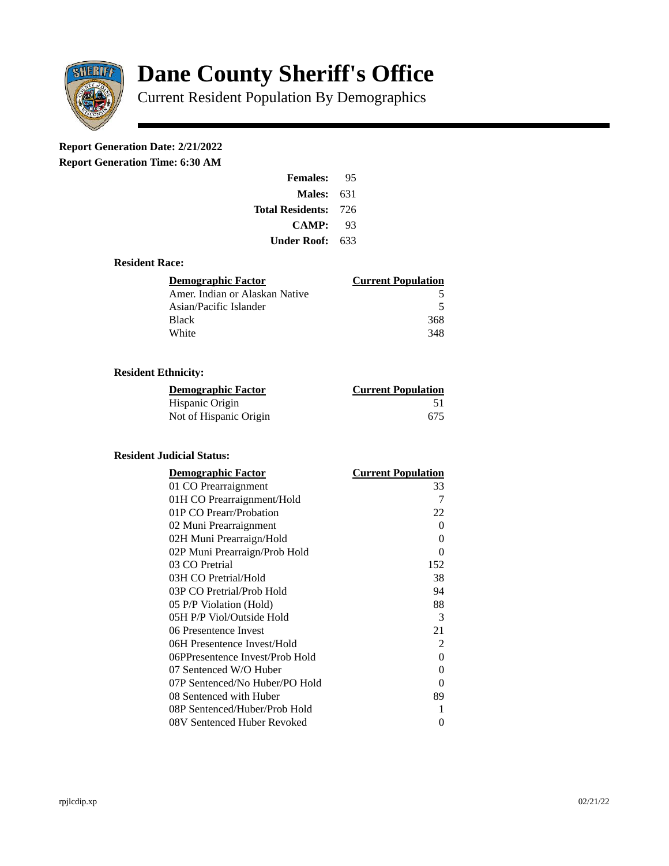

# **Dane County Sheriff's Office**

Current Resident Population By Demographics

# **Report Generation Date: 2/21/2022**

**Report Generation Time: 6:30 AM** 

| <b>Females:</b>         | 95   |
|-------------------------|------|
| Males:                  | 631  |
| <b>Total Residents:</b> | -726 |
| <b>CAMP:</b>            | 93   |
| Under Roof: \           | 633  |

### **Resident Race:**

| Demographic Factor             | <b>Current Population</b> |
|--------------------------------|---------------------------|
| Amer. Indian or Alaskan Native | 5                         |
| Asian/Pacific Islander         | 5                         |
| Black                          | 368                       |
| White                          | 348                       |

# **Resident Ethnicity:**

| <u>Demographic Factor</u> | <b>Current Population</b> |
|---------------------------|---------------------------|
| Hispanic Origin           | 51                        |
| Not of Hispanic Origin    | 675                       |

# **Resident Judicial Status:**

| <b>Demographic Factor</b>       | <b>Current Population</b> |
|---------------------------------|---------------------------|
| 01 CO Prearraignment            | 33                        |
| 01H CO Prearraignment/Hold      | 7                         |
| 01P CO Prearr/Probation         | 22                        |
| 02 Muni Prearraignment          | 0                         |
| 02H Muni Prearraign/Hold        | 0                         |
| 02P Muni Prearraign/Prob Hold   | 0                         |
| 03 CO Pretrial                  | 152                       |
| 03H CO Pretrial/Hold            | 38                        |
| 03P CO Pretrial/Prob Hold       | 94                        |
| 05 P/P Violation (Hold)         | 88                        |
| 05H P/P Viol/Outside Hold       | 3                         |
| 06 Presentence Invest           | 21                        |
| 06H Presentence Invest/Hold     | 2                         |
| 06PPresentence Invest/Prob Hold | 0                         |
| 07 Sentenced W/O Huber          | 0                         |
| 07P Sentenced/No Huber/PO Hold  | 0                         |
| 08 Sentenced with Huber         | 89                        |
| 08P Sentenced/Huber/Prob Hold   | 1                         |
| 08V Sentenced Huber Revoked     | 0                         |